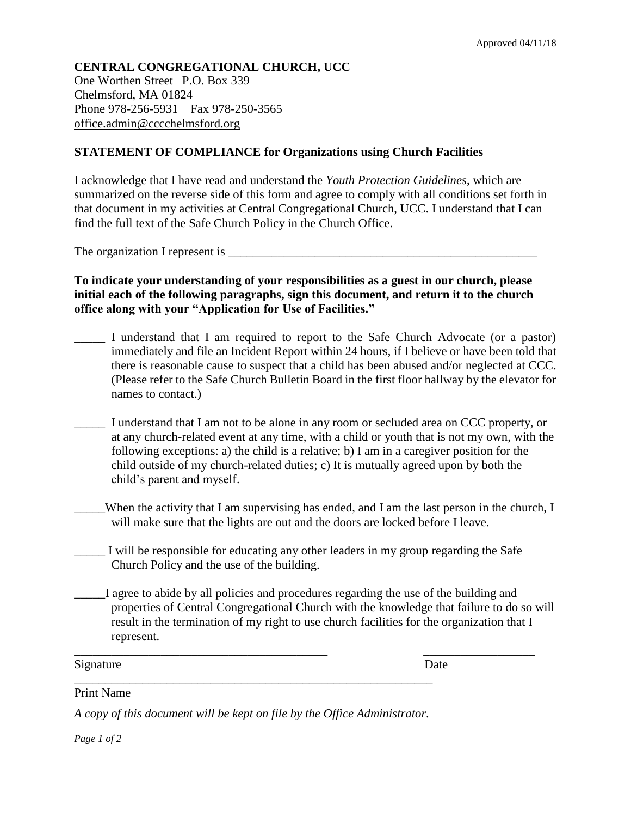## **CENTRAL CONGREGATIONAL CHURCH, UCC**

One Worthen Street P.O. Box 339 Chelmsford, MA 01824 Phone 978-256-5931 Fax 978-250-3565 office.admin@cccchelmsford.org

## **STATEMENT OF COMPLIANCE for Organizations using Church Facilities**

I acknowledge that I have read and understand the *Youth Protection Guidelines*, which are summarized on the reverse side of this form and agree to comply with all conditions set forth in that document in my activities at Central Congregational Church, UCC. I understand that I can find the full text of the Safe Church Policy in the Church Office.

The organization I represent is

**To indicate your understanding of your responsibilities as a guest in our church, please initial each of the following paragraphs, sign this document, and return it to the church office along with your "Application for Use of Facilities."**

- I understand that I am required to report to the Safe Church Advocate (or a pastor) immediately and file an Incident Report within 24 hours, if I believe or have been told that there is reasonable cause to suspect that a child has been abused and/or neglected at CCC. (Please refer to the Safe Church Bulletin Board in the first floor hallway by the elevator for names to contact.)
- I understand that I am not to be alone in any room or secluded area on CCC property, or at any church-related event at any time, with a child or youth that is not my own, with the following exceptions: a) the child is a relative; b) I am in a caregiver position for the child outside of my church-related duties; c) It is mutually agreed upon by both the child's parent and myself.
	- \_\_\_\_\_When the activity that I am supervising has ended, and I am the last person in the church, I will make sure that the lights are out and the doors are locked before I leave.
	- I will be responsible for educating any other leaders in my group regarding the Safe Church Policy and the use of the building.

\_\_\_\_\_\_\_\_\_\_\_\_\_\_\_\_\_\_\_\_\_\_\_\_\_\_\_\_\_\_\_\_\_\_\_\_\_\_\_\_\_ \_\_\_\_\_\_\_\_\_\_\_\_\_\_\_\_\_\_

\_\_\_\_\_I agree to abide by all policies and procedures regarding the use of the building and properties of Central Congregational Church with the knowledge that failure to do so will result in the termination of my right to use church facilities for the organization that I represent.

Signature Date

Print Name

*A copy of this document will be kept on file by the Office Administrator.* 

\_\_\_\_\_\_\_\_\_\_\_\_\_\_\_\_\_\_\_\_\_\_\_\_\_\_\_\_\_\_\_\_\_\_\_\_\_\_\_\_\_\_\_\_\_\_\_\_\_\_\_\_\_\_\_\_\_\_

*Page 1 of 2*